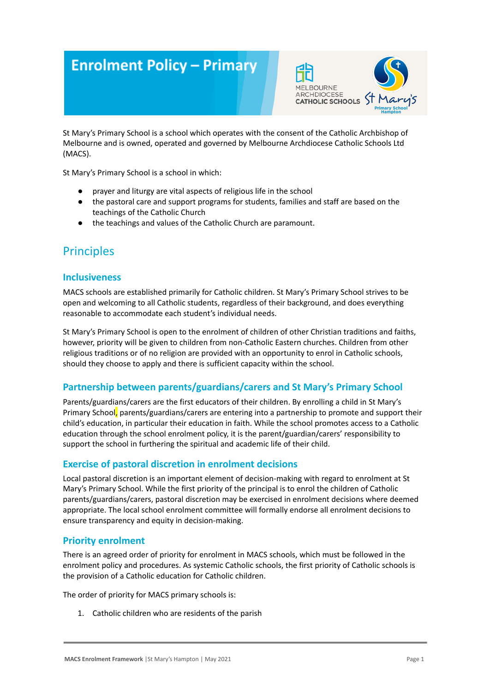# **Enrolment Policy - Primary**



St Mary's Primary School is a school which operates with the consent of the Catholic Archbishop of Melbourne and is owned, operated and governed by Melbourne Archdiocese Catholic Schools Ltd (MACS).

St Mary's Primary School is a school in which:

- prayer and liturgy are vital aspects of religious life in the school
- the pastoral care and support programs for students, families and staff are based on the teachings of the Catholic Church
- the teachings and values of the Catholic Church are paramount.

## Principles

#### **Inclusiveness**

MACS schools are established primarily for Catholic children. St Mary's Primary School strives to be open and welcoming to all Catholic students, regardless of their background, and does everything reasonable to accommodate each student's individual needs.

St Mary's Primary School is open to the enrolment of children of other Christian traditions and faiths, however, priority will be given to children from non-Catholic Eastern churches. Children from other religious traditions or of no religion are provided with an opportunity to enrol in Catholic schools, should they choose to apply and there is sufficient capacity within the school.

#### **Partnership between parents/guardians/carers and St Mary's Primary School**

Parents/guardians/carers are the first educators of their children. By enrolling a child in St Mary's Primary School, parents/guardians/carers are entering into a partnership to promote and support their child's education, in particular their education in faith. While the school promotes access to a Catholic education through the school enrolment policy, it is the parent/guardian/carers' responsibility to support the school in furthering the spiritual and academic life of their child.

#### **Exercise of pastoral discretion in enrolment decisions**

Local pastoral discretion is an important element of decision-making with regard to enrolment at St Mary's Primary School. While the first priority of the principal is to enrol the children of Catholic parents/guardians/carers, pastoral discretion may be exercised in enrolment decisions where deemed appropriate. The local school enrolment committee will formally endorse all enrolment decisions to ensure transparency and equity in decision-making.

#### **Priority enrolment**

There is an agreed order of priority for enrolment in MACS schools, which must be followed in the enrolment policy and procedures. As systemic Catholic schools, the first priority of Catholic schools is the provision of a Catholic education for Catholic children.

The order of priority for MACS primary schools is:

1. Catholic children who are residents of the parish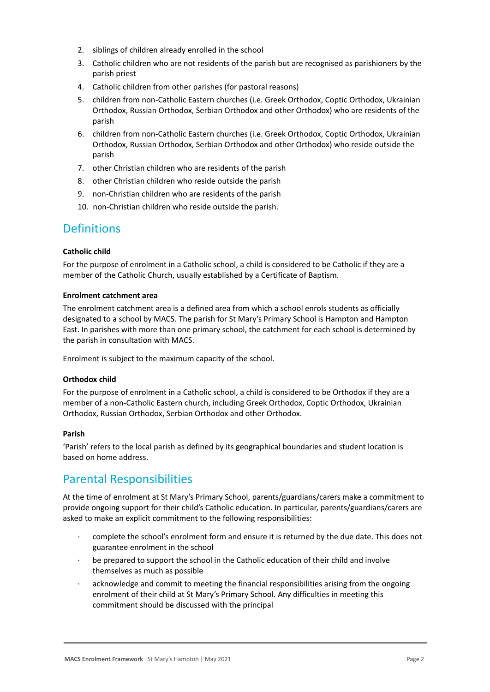- 2. siblings of children already enrolled in the school
- 3. Catholic children who are not residents of the parish but are recognised as parishioners by the parish priest
- 4. Catholic children from other parishes (for pastoral reasons)
- 5. children from non-Catholic Eastern churches (i.e. Greek Orthodox, Coptic Orthodox, Ukrainian Orthodox, Russian Orthodox, Serbian Orthodox and other Orthodox) who are residents of the parish
- 6. children from non-Catholic Eastern churches (i.e. Greek Orthodox, Coptic Orthodox, Ukrainian Orthodox, Russian Orthodox, Serbian Orthodox and other Orthodox) who reside outside the parish
- 7. other Christian children who are residents of the parish
- 8. other Christian children who reside outside the parish
- 9. non-Christian children who are residents of the parish
- 10. non-Christian children who reside outside the parish.

### **Definitions**

#### **Catholic child**

For the purpose of enrolment in a Catholic school, a child is considered to be Catholic if they are a member of the Catholic Church, usually established by a Certificate of Baptism.

#### **Enrolment catchment area**

The enrolment catchment area is a defined area from which a school enrols students as officially designated to a school by MACS. The parish for St Mary's Primary School is Hampton and Hampton East. In parishes with more than one primary school, the catchment for each school is determined by the parish in consultation with MACS.

Enrolment is subject to the maximum capacity of the school.

#### **Orthodox child**

For the purpose of enrolment in a Catholic school, a child is considered to be Orthodox if they are a member of a non-Catholic Eastern church, including Greek Orthodox, Coptic Orthodox, Ukrainian Orthodox, Russian Orthodox, Serbian Orthodox and other Orthodox.

#### **Parish**

'Parish' refers to the local parish as defined by its geographical boundaries and student location is based on home address.

### Parental Responsibilities

At the time of enrolment at St Mary's Primary School, parents/guardians/carers make a commitment to provide ongoing support for their child's Catholic education. In particular, parents/guardians/carers are asked to make an explicit commitment to the following responsibilities:

- · complete the school's enrolment form and ensure it is returned by the due date. This does not guarantee enrolment in the school
- be prepared to support the school in the Catholic education of their child and involve themselves as much as possible
- · acknowledge and commit to meeting the financial responsibilities arising from the ongoing enrolment of their child at St Mary's Primary School. Any difficulties in meeting this commitment should be discussed with the principal